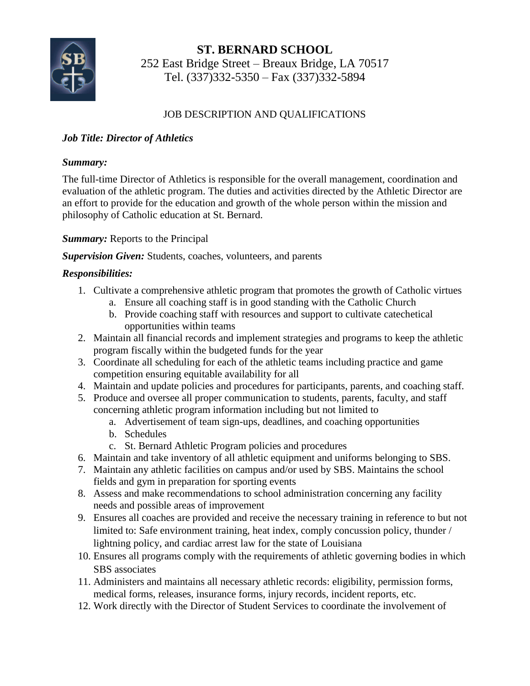

**ST. BERNARD SCHOOL** 252 East Bridge Street – Breaux Bridge, LA 70517 Tel. (337)332-5350 – Fax (337)332-5894

# JOB DESCRIPTION AND QUALIFICATIONS

# *Job Title: Director of Athletics*

## *Summary:*

The full-time Director of Athletics is responsible for the overall management, coordination and evaluation of the athletic program. The duties and activities directed by the Athletic Director are an effort to provide for the education and growth of the whole person within the mission and philosophy of Catholic education at St. Bernard.

# *Summary:* Reports to the Principal

## *Supervision Given:* Students, coaches, volunteers, and parents

## *Responsibilities:*

- 1. Cultivate a comprehensive athletic program that promotes the growth of Catholic virtues
	- a. Ensure all coaching staff is in good standing with the Catholic Church
	- b. Provide coaching staff with resources and support to cultivate catechetical opportunities within teams
- 2. Maintain all financial records and implement strategies and programs to keep the athletic program fiscally within the budgeted funds for the year
- 3. Coordinate all scheduling for each of the athletic teams including practice and game competition ensuring equitable availability for all
- 4. Maintain and update policies and procedures for participants, parents, and coaching staff.
- 5. Produce and oversee all proper communication to students, parents, faculty, and staff concerning athletic program information including but not limited to
	- a. Advertisement of team sign-ups, deadlines, and coaching opportunities
	- b. Schedules
	- c. St. Bernard Athletic Program policies and procedures
- 6. Maintain and take inventory of all athletic equipment and uniforms belonging to SBS.
- 7. Maintain any athletic facilities on campus and/or used by SBS. Maintains the school fields and gym in preparation for sporting events
- 8. Assess and make recommendations to school administration concerning any facility needs and possible areas of improvement
- 9. Ensures all coaches are provided and receive the necessary training in reference to but not limited to: Safe environment training, heat index, comply concussion policy, thunder / lightning policy, and cardiac arrest law for the state of Louisiana
- 10. Ensures all programs comply with the requirements of athletic governing bodies in which SBS associates
- 11. Administers and maintains all necessary athletic records: eligibility, permission forms, medical forms, releases, insurance forms, injury records, incident reports, etc.
- 12. Work directly with the Director of Student Services to coordinate the involvement of